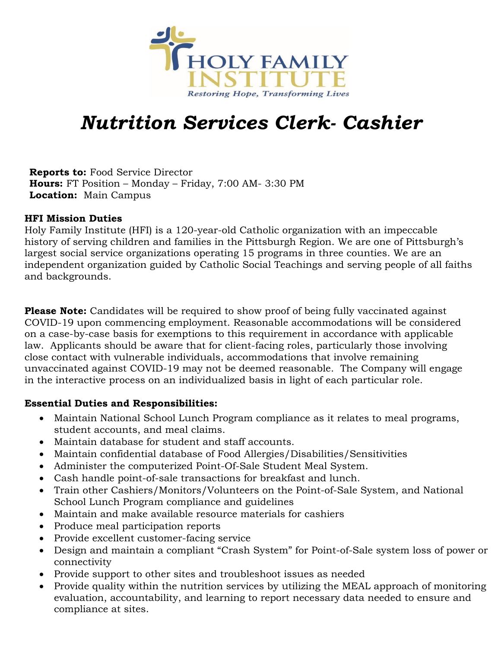

# *Nutrition Services Clerk- Cashier*

**Reports to:** Food Service Director **Hours:** FT Position – Monday – Friday, 7:00 AM- 3:30 PM **Location:** Main Campus

#### **HFI Mission Duties**

Holy Family Institute (HFI) is a 120-year-old Catholic organization with an impeccable history of serving children and families in the Pittsburgh Region. We are one of Pittsburgh's largest social service organizations operating 15 programs in three counties. We are an independent organization guided by Catholic Social Teachings and serving people of all faiths and backgrounds.

**Please Note:** Candidates will be required to show proof of being fully vaccinated against COVID-19 upon commencing employment. Reasonable accommodations will be considered on a case-by-case basis for exemptions to this requirement in accordance with applicable law. Applicants should be aware that for client-facing roles, particularly those involving close contact with vulnerable individuals, accommodations that involve remaining unvaccinated against COVID-19 may not be deemed reasonable. The Company will engage in the interactive process on an individualized basis in light of each particular role.

## **Essential Duties and Responsibilities:**

- Maintain National School Lunch Program compliance as it relates to meal programs, student accounts, and meal claims.
- Maintain database for student and staff accounts.
- Maintain confidential database of Food Allergies/Disabilities/Sensitivities
- Administer the computerized Point-Of-Sale Student Meal System.
- Cash handle point-of-sale transactions for breakfast and lunch.
- Train other Cashiers/Monitors/Volunteers on the Point-of-Sale System, and National School Lunch Program compliance and guidelines
- Maintain and make available resource materials for cashiers
- Produce meal participation reports
- Provide excellent customer-facing service
- Design and maintain a compliant "Crash System" for Point-of-Sale system loss of power or connectivity
- Provide support to other sites and troubleshoot issues as needed
- Provide quality within the nutrition services by utilizing the MEAL approach of monitoring evaluation, accountability, and learning to report necessary data needed to ensure and compliance at sites.